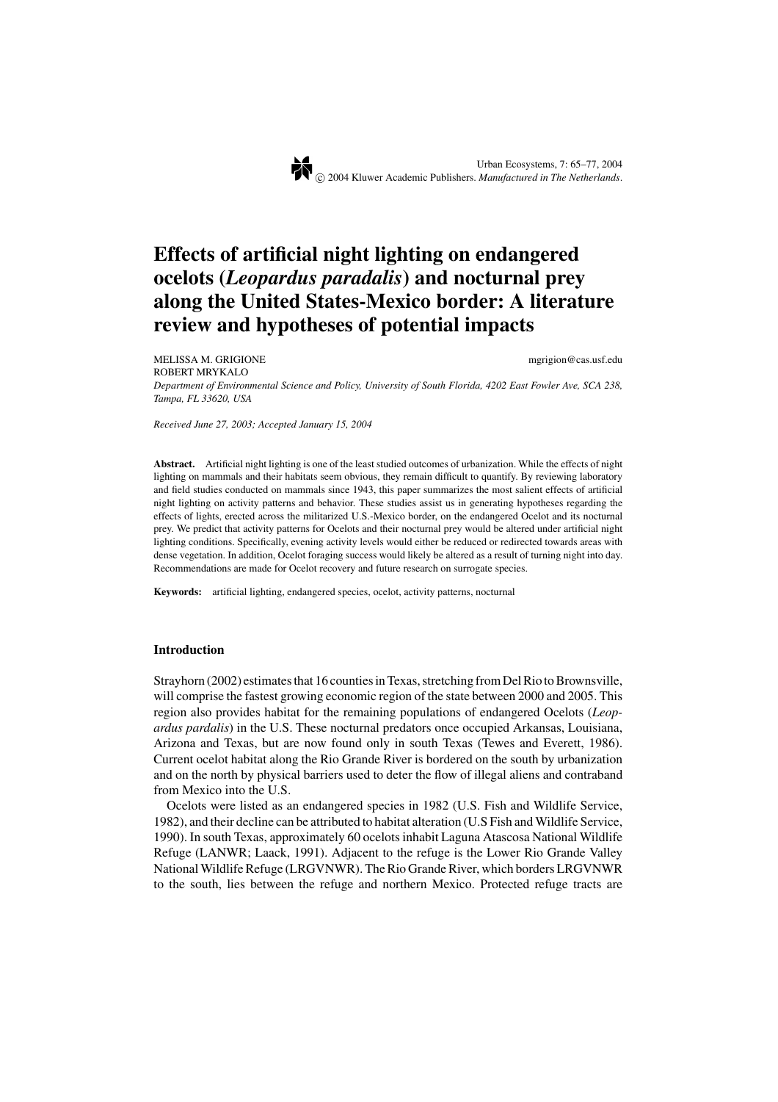# **Effects of artificial night lighting on endangered ocelots (***Leopardus paradalis***) and nocturnal prey along the United States-Mexico border: A literature review and hypotheses of potential impacts**

MELISSA M. GRIGIONE mgrigion @cas.usf.edu ROBERT MRYKALO *Department of Environmental Science and Policy, University of South Florida, 4202 East Fowler Ave, SCA 238, Tampa, FL 33620, USA*

*Received June 27, 2003; Accepted January 15, 2004*

**Abstract.** Artificial night lighting is one of the least studied outcomes of urbanization. While the effects of night lighting on mammals and their habitats seem obvious, they remain difficult to quantify. By reviewing laboratory and field studies conducted on mammals since 1943, this paper summarizes the most salient effects of artificial night lighting on activity patterns and behavior. These studies assist us in generating hypotheses regarding the effects of lights, erected across the militarized U.S.-Mexico border, on the endangered Ocelot and its nocturnal prey. We predict that activity patterns for Ocelots and their nocturnal prey would be altered under artificial night lighting conditions. Specifically, evening activity levels would either be reduced or redirected towards areas with dense vegetation. In addition, Ocelot foraging success would likely be altered as a result of turning night into day. Recommendations are made for Ocelot recovery and future research on surrogate species.

**Keywords:** artificial lighting, endangered species, ocelot, activity patterns, nocturnal

## **Introduction**

Strayhorn (2002) estimates that 16 counties in Texas, stretching from Del Rio to Brownsville, will comprise the fastest growing economic region of the state between 2000 and 2005. This region also provides habitat for the remaining populations of endangered Ocelots (*Leopardus pardalis*) in the U.S. These nocturnal predators once occupied Arkansas, Louisiana, Arizona and Texas, but are now found only in south Texas (Tewes and Everett, 1986). Current ocelot habitat along the Rio Grande River is bordered on the south by urbanization and on the north by physical barriers used to deter the flow of illegal aliens and contraband from Mexico into the U.S.

Ocelots were listed as an endangered species in 1982 (U.S. Fish and Wildlife Service, 1982), and their decline can be attributed to habitat alteration (U.S Fish and Wildlife Service, 1990). In south Texas, approximately 60 ocelots inhabit Laguna Atascosa National Wildlife Refuge (LANWR; Laack, 1991). Adjacent to the refuge is the Lower Rio Grande Valley National Wildlife Refuge (LRGVNWR). The Rio Grande River, which borders LRGVNWR to the south, lies between the refuge and northern Mexico. Protected refuge tracts are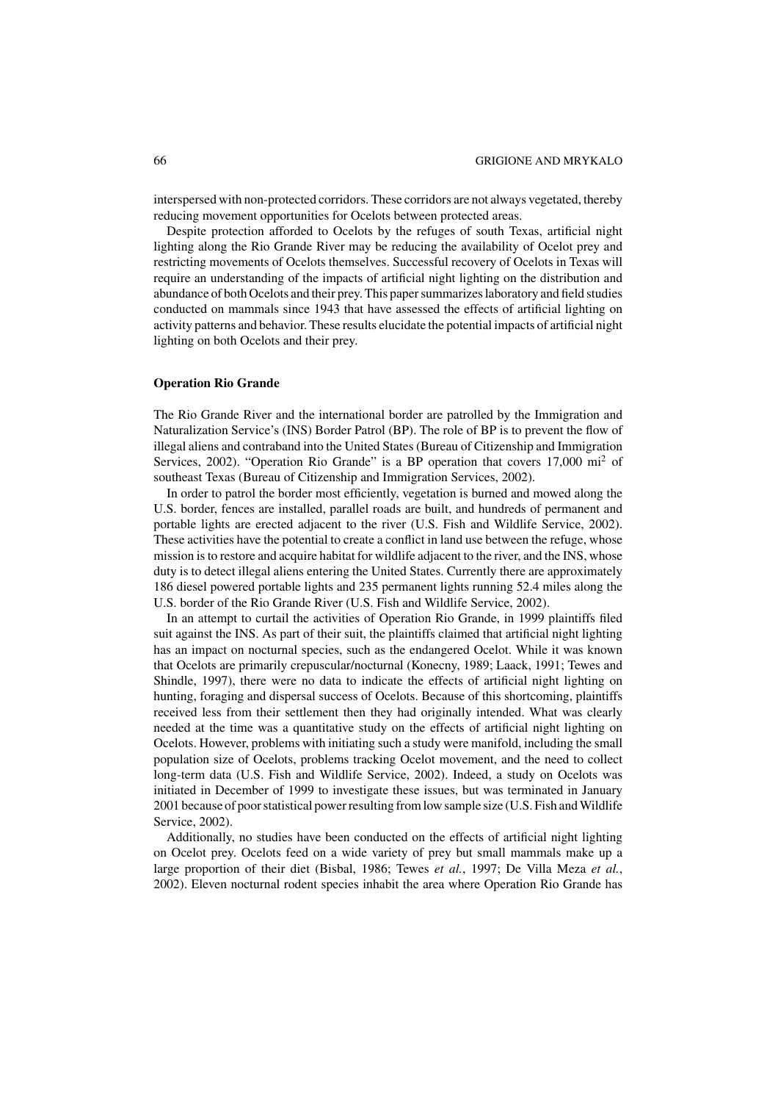interspersed with non-protected corridors. These corridors are not always vegetated, thereby reducing movement opportunities for Ocelots between protected areas.

Despite protection afforded to Ocelots by the refuges of south Texas, artificial night lighting along the Rio Grande River may be reducing the availability of Ocelot prey and restricting movements of Ocelots themselves. Successful recovery of Ocelots in Texas will require an understanding of the impacts of artificial night lighting on the distribution and abundance of both Ocelots and their prey. This paper summarizes laboratory and field studies conducted on mammals since 1943 that have assessed the effects of artificial lighting on activity patterns and behavior. These results elucidate the potential impacts of artificial night lighting on both Ocelots and their prey.

### **Operation Rio Grande**

The Rio Grande River and the international border are patrolled by the Immigration and Naturalization Service's (INS) Border Patrol (BP). The role of BP is to prevent the flow of illegal aliens and contraband into the United States (Bureau of Citizenship and Immigration Services, 2002). "Operation Rio Grande" is a BP operation that covers 17,000 mi<sup>2</sup> of southeast Texas (Bureau of Citizenship and Immigration Services, 2002).

In order to patrol the border most efficiently, vegetation is burned and mowed along the U.S. border, fences are installed, parallel roads are built, and hundreds of permanent and portable lights are erected adjacent to the river (U.S. Fish and Wildlife Service, 2002). These activities have the potential to create a conflict in land use between the refuge, whose mission is to restore and acquire habitat for wildlife adjacent to the river, and the INS, whose duty is to detect illegal aliens entering the United States. Currently there are approximately 186 diesel powered portable lights and 235 permanent lights running 52.4 miles along the U.S. border of the Rio Grande River (U.S. Fish and Wildlife Service, 2002).

In an attempt to curtail the activities of Operation Rio Grande, in 1999 plaintiffs filed suit against the INS. As part of their suit, the plaintiffs claimed that artificial night lighting has an impact on nocturnal species, such as the endangered Ocelot. While it was known that Ocelots are primarily crepuscular/nocturnal (Konecny, 1989; Laack, 1991; Tewes and Shindle, 1997), there were no data to indicate the effects of artificial night lighting on hunting, foraging and dispersal success of Ocelots. Because of this shortcoming, plaintiffs received less from their settlement then they had originally intended. What was clearly needed at the time was a quantitative study on the effects of artificial night lighting on Ocelots. However, problems with initiating such a study were manifold, including the small population size of Ocelots, problems tracking Ocelot movement, and the need to collect long-term data (U.S. Fish and Wildlife Service, 2002). Indeed, a study on Ocelots was initiated in December of 1999 to investigate these issues, but was terminated in January 2001 because of poor statistical power resulting from low sample size (U.S. Fish and Wildlife Service, 2002).

Additionally, no studies have been conducted on the effects of artificial night lighting on Ocelot prey. Ocelots feed on a wide variety of prey but small mammals make up a large proportion of their diet (Bisbal, 1986; Tewes *et al.*, 1997; De Villa Meza *et al.*, 2002). Eleven nocturnal rodent species inhabit the area where Operation Rio Grande has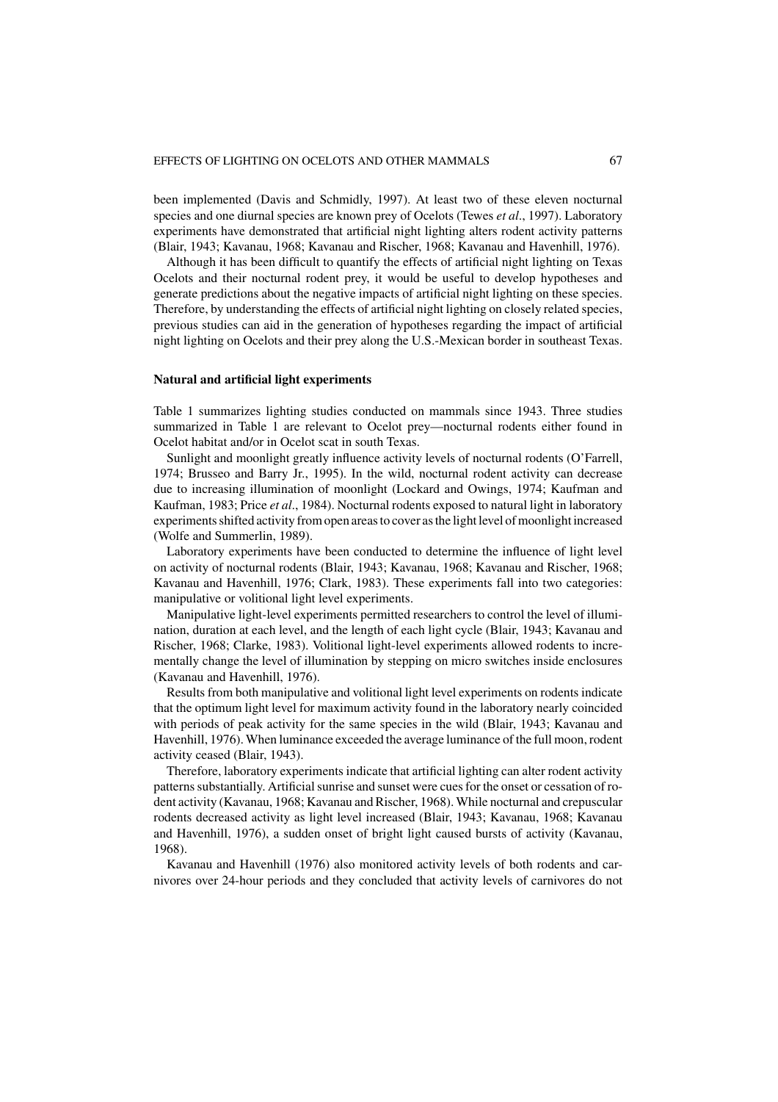been implemented (Davis and Schmidly, 1997). At least two of these eleven nocturnal species and one diurnal species are known prey of Ocelots (Tewes *et al*., 1997). Laboratory experiments have demonstrated that artificial night lighting alters rodent activity patterns (Blair, 1943; Kavanau, 1968; Kavanau and Rischer, 1968; Kavanau and Havenhill, 1976).

Although it has been difficult to quantify the effects of artificial night lighting on Texas Ocelots and their nocturnal rodent prey, it would be useful to develop hypotheses and generate predictions about the negative impacts of artificial night lighting on these species. Therefore, by understanding the effects of artificial night lighting on closely related species, previous studies can aid in the generation of hypotheses regarding the impact of artificial night lighting on Ocelots and their prey along the U.S.-Mexican border in southeast Texas.

## **Natural and artificial light experiments**

Table 1 summarizes lighting studies conducted on mammals since 1943. Three studies summarized in Table 1 are relevant to Ocelot prey—nocturnal rodents either found in Ocelot habitat and/or in Ocelot scat in south Texas.

Sunlight and moonlight greatly influence activity levels of nocturnal rodents (O'Farrell, 1974; Brusseo and Barry Jr., 1995). In the wild, nocturnal rodent activity can decrease due to increasing illumination of moonlight (Lockard and Owings, 1974; Kaufman and Kaufman, 1983; Price *et al*., 1984). Nocturnal rodents exposed to natural light in laboratory experiments shifted activity from open areas to cover as the light level of moonlight increased (Wolfe and Summerlin, 1989).

Laboratory experiments have been conducted to determine the influence of light level on activity of nocturnal rodents (Blair, 1943; Kavanau, 1968; Kavanau and Rischer, 1968; Kavanau and Havenhill, 1976; Clark, 1983). These experiments fall into two categories: manipulative or volitional light level experiments.

Manipulative light-level experiments permitted researchers to control the level of illumination, duration at each level, and the length of each light cycle (Blair, 1943; Kavanau and Rischer, 1968; Clarke, 1983). Volitional light-level experiments allowed rodents to incrementally change the level of illumination by stepping on micro switches inside enclosures (Kavanau and Havenhill, 1976).

Results from both manipulative and volitional light level experiments on rodents indicate that the optimum light level for maximum activity found in the laboratory nearly coincided with periods of peak activity for the same species in the wild (Blair, 1943; Kavanau and Havenhill, 1976). When luminance exceeded the average luminance of the full moon, rodent activity ceased (Blair, 1943).

Therefore, laboratory experiments indicate that artificial lighting can alter rodent activity patterns substantially. Artificial sunrise and sunset were cues for the onset or cessation of rodent activity (Kavanau, 1968; Kavanau and Rischer, 1968). While nocturnal and crepuscular rodents decreased activity as light level increased (Blair, 1943; Kavanau, 1968; Kavanau and Havenhill, 1976), a sudden onset of bright light caused bursts of activity (Kavanau, 1968).

Kavanau and Havenhill (1976) also monitored activity levels of both rodents and carnivores over 24-hour periods and they concluded that activity levels of carnivores do not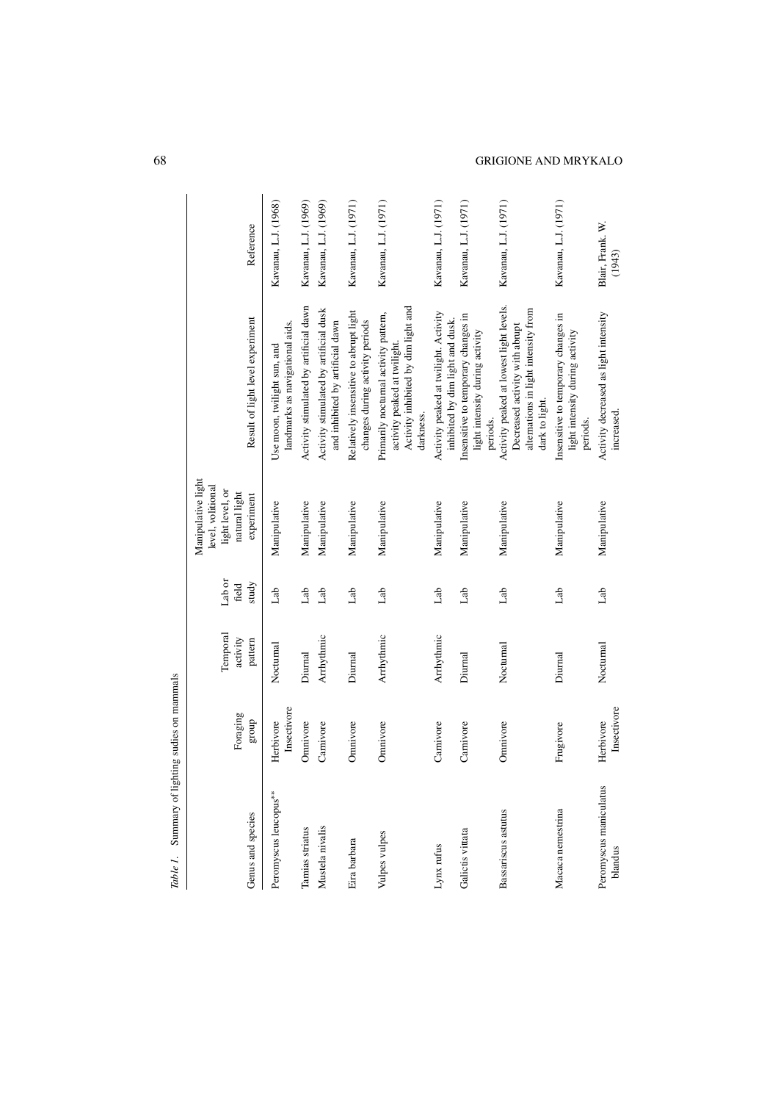| Table 1. Summary of lighting sudies on mammals |                          |                                 |                          |                                                                                           |                                                                                                                                     |                            |
|------------------------------------------------|--------------------------|---------------------------------|--------------------------|-------------------------------------------------------------------------------------------|-------------------------------------------------------------------------------------------------------------------------------------|----------------------------|
| Genus and species                              | Foraging<br>group        | Temporal<br>activity<br>pattern | Lab or<br>study<br>field | Manipulative light<br>level, volitional<br>light level, or<br>natural light<br>experiment | Result of light level experiment                                                                                                    | Reference                  |
| Peromyscus leucopus**                          | Insectivore<br>Herbivore | Nocturnal                       | dab                      | Manipulative                                                                              | landmarks as navigational aids.<br>Use moon, twilight sun, and                                                                      | Kavanau, L.J. (1968)       |
| Tamias striatus                                | Omnivore                 | Diurnal                         | Lab                      | Manipulative                                                                              | Activity stimulated by artificial dawn                                                                                              | Kavanau, L.J. (1969)       |
| Mustela nivalis                                | Carnivore                | Arrhythmic                      | dab                      | Manipulative                                                                              | Activity stimulated by artificial dusk<br>and inhibited by artificial dawn                                                          | Kavanau, L.J. (1969)       |
| Eira barbara                                   | Omnivore                 | Diurnal                         | Lab                      | Manipulative                                                                              | Relatively insensitive to abrupt light<br>changes during activity periods                                                           | Kavanau, L.J. (1971)       |
| Vulpes vulpes                                  | Omnivore                 | Arrhythmic                      | Lab                      | Manipulative                                                                              | Activity inhibited by dim light and<br>Primarily nocturnal activity pattern,<br>activity peaked at twilight.<br>darkness.           | Kavanau, L.J. (1971)       |
| Lynx rufus                                     | Carnivore                | Arrhythmic                      | Lab                      | Manipulative                                                                              | Activity peaked at twilight. Activity<br>inhibited by dim light and dusk.                                                           | Kavanau, L.J. (1971)       |
| Galictis vittata                               | Carnivore                | Diurnal                         | dab                      | Manipulative                                                                              | Insensitive to temporary changes in<br>light intensity during activity<br>periods.                                                  | Kavanau, L.J. (1971)       |
| Bassariscus astutus                            | Omnivore                 | Nocturnal                       | Lab                      | Manipulative                                                                              | Activity peaked at lowest light levels.<br>alternations in light intensity from<br>Decreased activity with abrupt<br>dark to light. | Kavanau, L.J. (1971)       |
| Macaca nemestrina                              | Frugivore                | Diurnal                         | dab                      | Manipulative                                                                              | Insensitive to temporary changes in<br>light intensity during activity<br>periods.                                                  | Kavanau, L.J. (1971)       |
| Peromyscus maniculatus<br>blandus              | Insectivore<br>Herbivore | Nocturnal                       | Lab                      | Manipulative                                                                              | Activity decreased as light intensity<br>increased                                                                                  | Blair, Frank. W.<br>(1943) |

## 68 GRIGIONE AND MRYKALO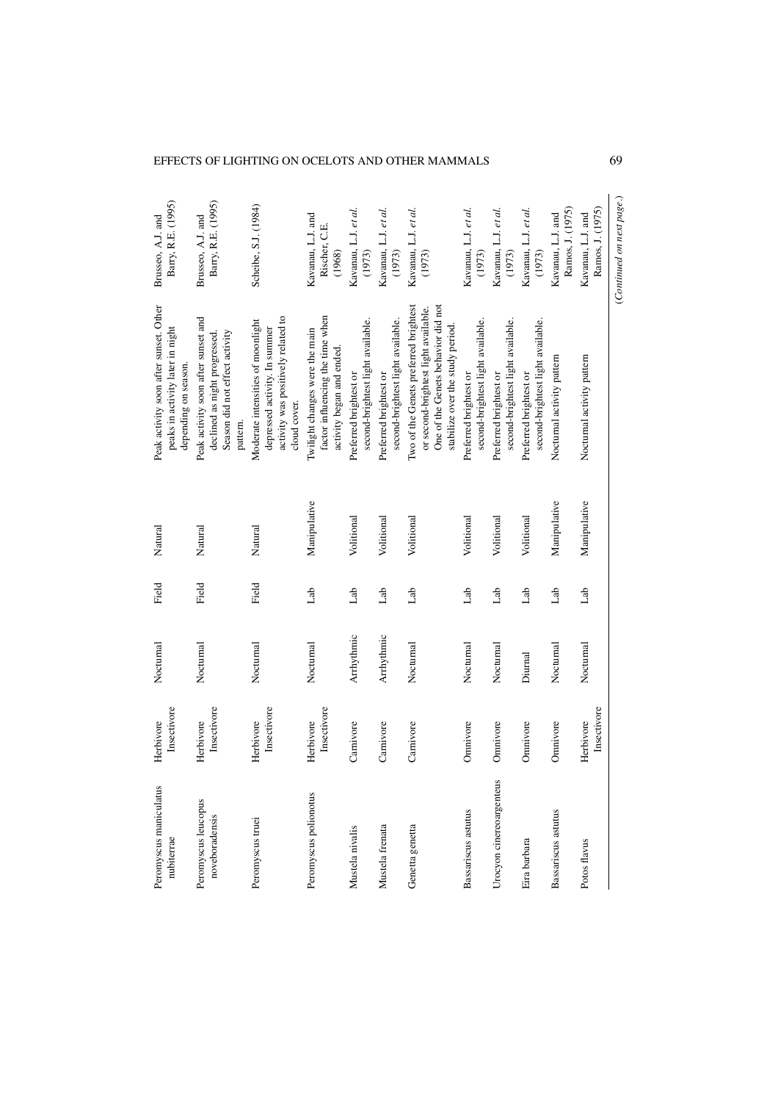## EFFECTS OF LIGHTING ON OCELOTS AND OTHER MAMMALS 69

| Peromyscus maniculatus<br>nubiterrae  | Insectivore<br>Herbivore | Nocturnal  | Field | Natural      | Peak activity soon after sunset. Other<br>peaks in activity later in night<br>depending on season.                                                      | Barry, R.E. (1995)<br>Brusseo, A.J. and      |
|---------------------------------------|--------------------------|------------|-------|--------------|---------------------------------------------------------------------------------------------------------------------------------------------------------|----------------------------------------------|
| Peromyscus leucopus<br>noveboradensis | Insectivore<br>Herbivore | Nocturnal  | Field | Natural      | Peak activity soon after sunset and<br>Season did not effect activity<br>declined as night progressed.<br>pattern.                                      | Barry, R.E. (1995)<br>Brusseo, A.J. and      |
| Peromyscus truei                      | Insectivore<br>Herbivore | Nocturnal  | Field | Natural      | activity was positively related to<br>Moderate intensities of moonlight<br>depressed activity. In summer<br>cloud cover.                                | Scheibe, S.J. (1984)                         |
| Peromyscus polionotus                 | Insectivore<br>Herbivore | Nocturnal  | Lab   | Manipulative | factor influencing the time when<br>Twilight changes were the main<br>activity began and ended                                                          | Kavanau, L.J. and<br>Rischer, C.E.<br>(1968) |
| Mustela nivalis                       | Carnivore                | Arrhythmic | dab   | Volitional   | second-brightest light available.<br>Preferred brightest or                                                                                             | Kavanau, L.J. et al.<br>(1973)               |
| Mustela frenata                       | Carnivore                | Arrhythmic | dab   | Volitional   | second-brightest light available.<br>Preferred brightest or                                                                                             | Kavanau, L.J. et al.<br>(1973)               |
| Genetta genetta                       | Carnivore                | Nocturnal  | Lab   | Volitional   | Two of the Genets preferred brightest<br>One of the Genets behavior did not<br>or second-brightest light available.<br>stabilize over the study period. | Kavanau, L.J. et al.<br>(1973)               |
| Bassariscus astutus                   | Omnivore                 | Nocturnal  | Lab   | Volitional   | second-brightest light available.<br>Preferred brightest or                                                                                             | Kavanau, L.J. et al.<br>(1973)               |
| Urocyon cinereoargenteus              | Omnivore                 | Nocturnal  | Lab   | Volitional   | second-brightest light available.<br>Preferred brightest or                                                                                             | Kavanau, L.J. et al.<br>(1973)               |
| Eira barbara                          | Omnivore                 | Diurnal    | Lab   | Volitional   | second-brightest light available.<br>Preferred brightest or                                                                                             | Kavanau, L.J. et al.<br>(1973)               |
| Bassariscus astutus                   | Omnivore                 | Nocturnal  | dab   | Manipulative | Nocturnal activity pattern                                                                                                                              | Ramos, J. (1975)<br>Kavanau, L.J. and        |
| Potos flavus                          | Insectivore<br>Herbivore | Nocturnal  | dab   | Manipulative | Nocturnal activity pattern                                                                                                                              | Ramos, J. (1975)<br>Kavanau, L.J. and        |
|                                       |                          |            |       |              |                                                                                                                                                         | (Continued on next page.)                    |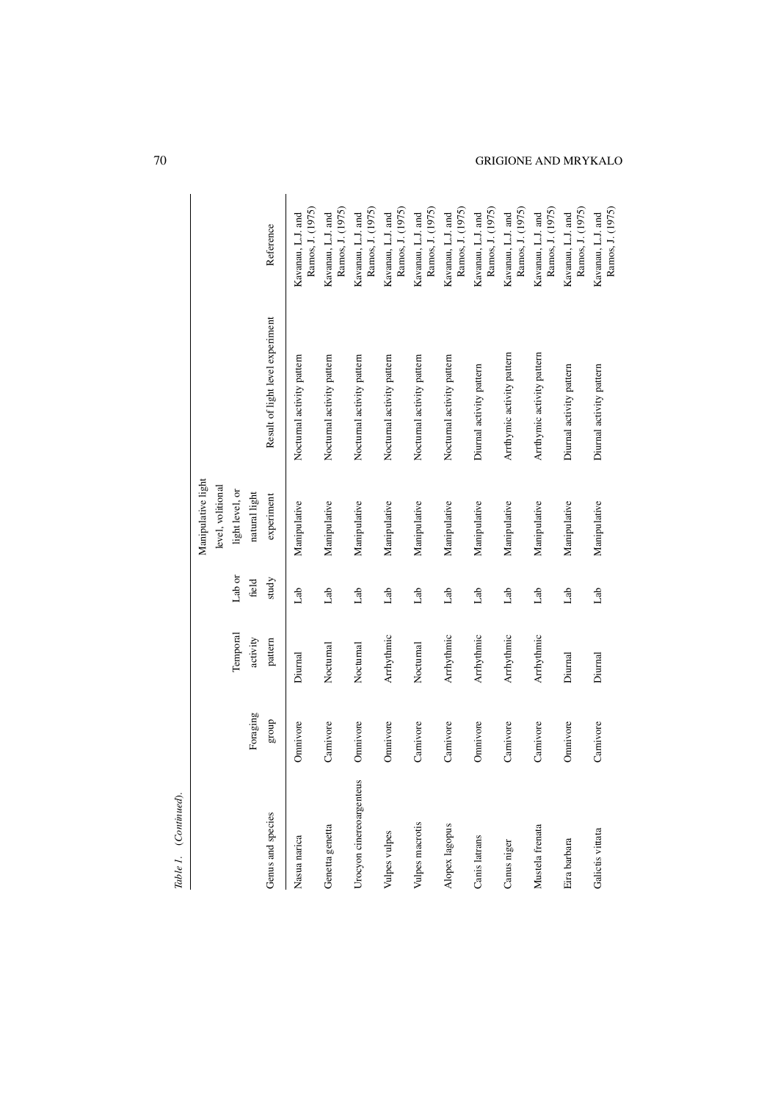| Table 1. (Continued).    |           |                      |                 |                                                                             |                                  |                                       |
|--------------------------|-----------|----------------------|-----------------|-----------------------------------------------------------------------------|----------------------------------|---------------------------------------|
|                          | Foraging  | Temporal<br>activity | Lab or<br>field | Manipulative light<br>level, volitional<br>light level, or<br>natural light |                                  |                                       |
| Genus and species        | dno.a     | pattern              | study           | experiment                                                                  | Result of light level experiment | Reference                             |
| Nasua narica             | Omnivore  | Diurnal              | dab             | Manipulative                                                                | Nocturnal activity pattern       | Ramos, J. (1975)<br>Kavanau, L.J. and |
| Genetta genetta          | Carnivore | Nocturnal            | Lab             | Manipulative                                                                | Nocturnal activity pattern       | Ramos, J. (1975)<br>Kavanau, L.J. and |
| Urocyon cinereoargenteus | Omnivore  | Nocturnal            | Lab             | Manipulative                                                                | Nocturnal activity pattern       | Ramos, J. (1975)<br>Kavanau, L.J. and |
| Vulpes vulpes            | Omnivore  | Arrhythmic           | Lab             | Manipulative                                                                | Nocturnal activity pattern       | Ramos, J. (1975)<br>Kavanau, L.J. and |
| Vulpes macrotis          | Carnivore | Nocturnal            | Lab             | Manipulative                                                                | Nocturnal activity pattern       | Ramos, J. (1975)<br>Kavanau, L.J. and |
| Alopex lagopus           | Carnivore | Arrhythmic           | Lab             | Manipulative                                                                | Nocturnal activity pattern       | Ramos, J. (1975)<br>Kavanau, L.J. and |
| Canis latrans            | Omnivore  | Arrhythmic           | dab             | Manipulative                                                                | Diurnal activity pattern         | Ramos, J. (1975)<br>Kavanau, L.J. and |
| Canus niger              | Carnivore | Arrhythmic           | dab             | Manipulative                                                                | Arrthymic activity pattern       | Ramos, J. (1975)<br>Kavanau, L.J. and |
| Mustela frenata          | Carnivore | Arrhythmic           | dab             | Manipulative                                                                | Arrthymic activity pattern       | Ramos, J. (1975)<br>Kavanau, L.J. and |
| Eira barbara             | Omnivore  | Diurnal              | dab             | Manipulative                                                                | Diurnal activity pattern         | Ramos, J. (1975)<br>Kavanau, L.J. and |
| Galictis vittata         | Carnivore | Diurnal              | Lab             | Manipulative                                                                | Diurnal activity pattern         | Ramos, J. (1975)<br>Kavanau, L.J. and |

70 GRIGIONE AND MRYKALO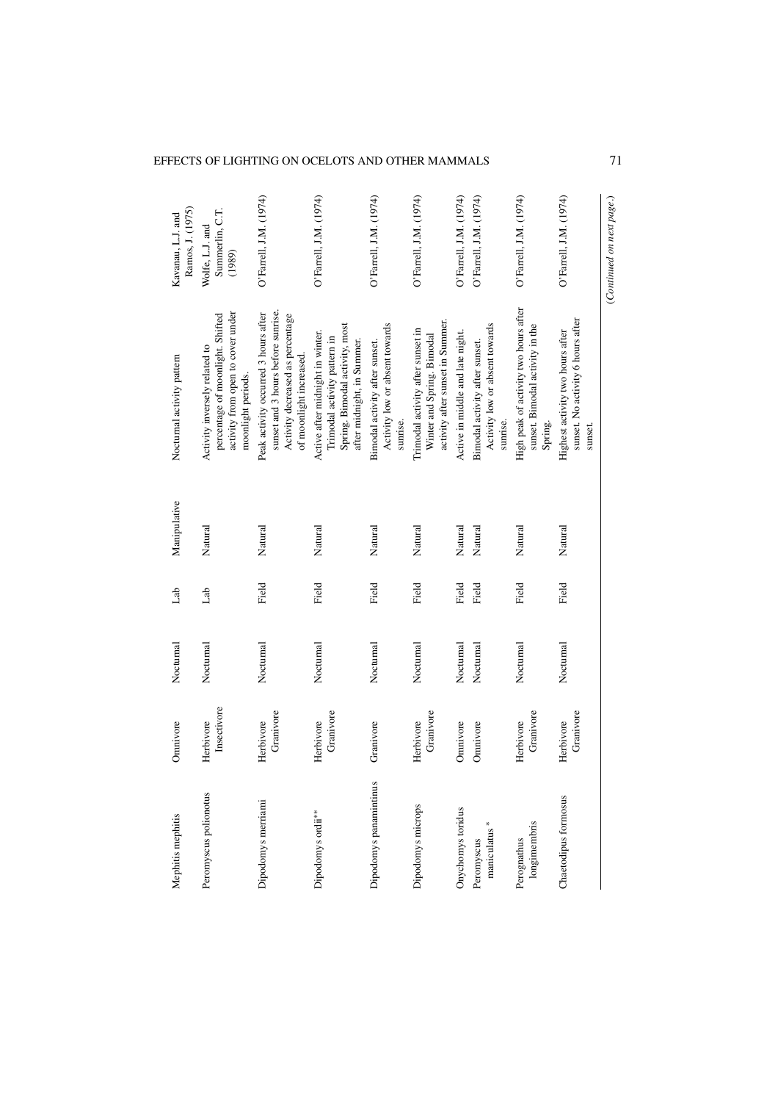## EFFECTS OF LIGHTING ON OCELOTS AND OTHER MAMMALS 71

| Mephitis mephitis             | Omnivore                 | Nocturnal | dab   | Manipulative | Nocturnal activity pattern                                                                                                                | Ramos, J. (1975)<br>Kavanau, L.J. and        |
|-------------------------------|--------------------------|-----------|-------|--------------|-------------------------------------------------------------------------------------------------------------------------------------------|----------------------------------------------|
| Peromyscus polionotus         | Insectivore<br>Herbivore | Nocturnal | dab   | Natural      | activity from open to cover under<br>percentage of moonlight. Shifted<br>Activity inversely related to<br>moonlight periods.              | Summerlin, C.T.<br>Wolfe, L.J. and<br>(1989) |
| Dipodomys merriami            | Granivore<br>Herbivore   | Nocturnal | Field | Natural      | sunset and 3 hours before sunrise.<br>Peak activity occurred 3 hours after<br>Activity decreased as percentage<br>of moonlight increased. | O'Farrell, J.M. (1974)                       |
| Dipodomys ordii <sup>**</sup> | Granivore<br>Herbivore   | Nocturnal | Field | Natural      | Spring. Bimodal activity, most<br>Active after midnight in winter.<br>Trimodal activity pattern in<br>after midnight, in Summer.          | O'Farrell, J.M. (1974)                       |
| Dipodomys panamintinus        | Granivore                | Nocturnal | Field | Natural      | Activity low or absent towards<br>Bimodal activity after sunset.<br>sunrise                                                               | O'Farrell, J.M. (1974)                       |
| Dipodomys microps             | Granivore<br>Herbivore   | Nocturnal | Field | Natural      | activity after sunset in Summer.<br>Trimodal activity after sunset in<br>Winter and Spring. Bimodal                                       | O'Farrell, J.M. (1974)                       |
| Onychomys toridus             | Omnivore                 | Nocturnal | Field | Natural      | Active in middle and late night.                                                                                                          | O'Farrell, J.M. (1974)                       |
| maniculatus*<br>Peromyscus    | Omnivore                 | Nocturnal | Field | Natural      | Activity low or absent towards<br>Bimodal activity after sunset.<br>sunrise                                                               | O'Farrell, J.M. (1974)                       |
| longimembris<br>Perognathus   | Granivore<br>Herbivore   | Nocturnal | Field | Natural      | High peak of activity two hours after<br>sunset. Bimodal activity in the<br>Spring.                                                       | O'Farrell, J.M. (1974)                       |
| Chaetodipus formosus          | Granivore<br>Herbivore   | Nocturnal | Field | Natural      | sunset. No activity 6 hours after<br>Highest activity two hours after<br>sunset.                                                          | O'Farrell, J.M. (1974)                       |
|                               |                          |           |       |              |                                                                                                                                           |                                              |

 $(Continued \ on \ next \ page.)$ (*Continued on next page*.)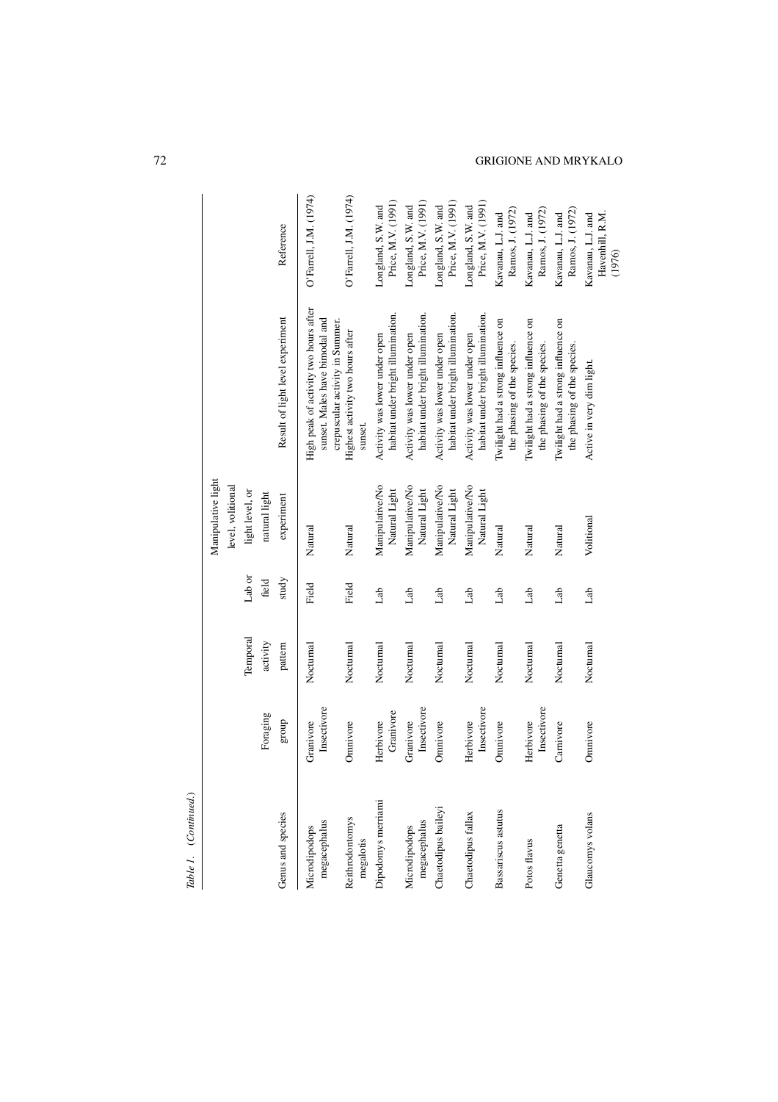| í<br>í |
|--------|
| ı      |
|        |

| Table 1. (Continued.)         |                          |           |        |                                         |                                                                                                            |                                                |
|-------------------------------|--------------------------|-----------|--------|-----------------------------------------|------------------------------------------------------------------------------------------------------------|------------------------------------------------|
|                               |                          |           |        | Manipulative light<br>level, volitional |                                                                                                            |                                                |
|                               |                          | Temporal  | Lab or | light level, or                         |                                                                                                            |                                                |
|                               | Foraging                 | activity  | field  | natural light                           |                                                                                                            |                                                |
| Genus and species             | group                    | pattern   | study  | experiment                              | Result of light level experiment                                                                           | Reference                                      |
| megacephalus<br>Microdipodops | Insectivore<br>Granivore | Nocturnal | Field  | Natural                                 | High peak of activity two hours after<br>sunset. Males have bimodal and<br>crepuscular activity in Summer. | O'Farrell, J.M. (1974)                         |
| Reithrodontomys<br>megalotis  | Omnivore                 | Nocturnal | Field  | Natural                                 | Highest activity two hours after<br>sunset.                                                                | O'Farrell, J.M. (1974)                         |
| Dipodomys merriami            | Granivore<br>Herbivore   | Nocturnal | dab    | Manipulative/No<br>Natural Light        | habitat under bright illumination.<br>Activity was lower under open                                        | Price, M.V. (1991)<br>Longland, S.W. and       |
| megacephalus<br>Microdipodops | Insectivore<br>Granivore | Nocturnal | dab    | Manipulative/No<br>Natural Light        | habitat under bright illumination.<br>Activity was lower under open                                        | Price, M.V. (1991)<br>Longland, S.W. and       |
| Chaetodipus baileyi           | Omnivore                 | Nocturnal | dab    | Manipulative/No<br>Natural Light        | habitat under bright illumination.<br>Activity was lower under open                                        | Price, M.V. (1991)<br>Longland, S.W. and       |
| Chaetodipus fallax            | Insectivore<br>Herbivore | Nocturnal | dab    | Manipulative/No<br>Natural Light        | habitat under bright illumination.<br>Activity was lower under open                                        | Price, M.V. (1991)<br>Longland, S.W. and       |
| Bassariscus astutus           | Omnivore                 | Nocturnal | Lab    | Natural                                 | Twilight had a strong influence on<br>the phasing of the species.                                          | Ramos, J. (1972)<br>Kavanau, L.J. and          |
| Potos flavus                  | Insectivore<br>Herbivore | Nocturnal | Lab    | Natural                                 | Twilight had a strong influence on<br>the phasing of the species.                                          | Ramos, J. (1972)<br>Kavanau, L.J. and          |
| Genetta genetta               | Carnivore                | Nocturnal | Lab    | Natural                                 | Twilight had a strong influence on<br>the phasing of the species.                                          | Ramos, J. (1972)<br>Kavanau, L.J. and          |
| Glaucomys volans              | Omnivore                 | Nocturnal | Lab    | Volitional                              | Active in very dim light.                                                                                  | Havenhill, R.M.<br>Kavanau, L.J. and<br>(1976) |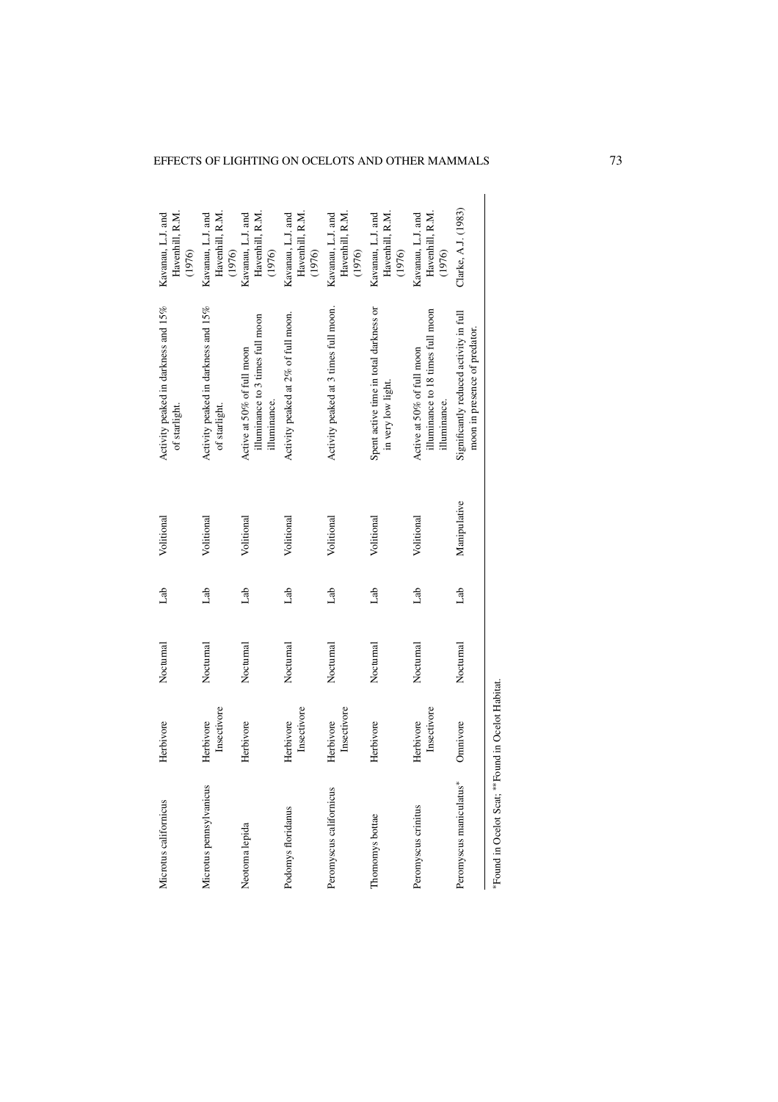|                                                |                                                                                 |              |     |           |                          | *Found in Ocelot Scat; **Found in Ocelot Habitat. |
|------------------------------------------------|---------------------------------------------------------------------------------|--------------|-----|-----------|--------------------------|---------------------------------------------------|
| Clarke, A.J. (1983)                            | Significantly reduced activity in full<br>moon in presence of predator.         | Manipulative | dab | Nocturnal | Omnivore                 | Peromyscus maniculatus*                           |
| Kavanau, L.J. and<br>Havenhill, R.M.<br>(1976) | illuminance to 18 times full moon<br>Active at 50% of full moon<br>illuminance. | Volitional   | de  | Nocturnal | Insectivore<br>Herbivore | Peromyscus crinitus                               |
| Kavanau, L.J. and<br>Havenhill, R.M.<br>(1976) | Spent active time in total darkness or<br>in very low light.                    | Volitional   | Lab | Nocturnal | Herbivore                | Thomomys bottae                                   |
| Kavanau, L.J. and<br>Havenhill, R.M.<br>(1976) | Activity peaked at 3 times full moon.                                           | Volitional   | dab | Nocturnal | Insectivore<br>Herbivore | Peromyscus californicus                           |
| Havenhill, R.M.<br>Kavanau, L.J. and<br>(1976) | Activity peaked at 2% of full moon.                                             | Volitional   | dab | Nocturnal | Insectivore<br>Herbivore | Podomys floridanus                                |
| Kavanau, L.J. and<br>Havenhill, R.M.<br>(1976) | illuminance to 3 times full moon<br>Active at 50% of full moon<br>illuminance.  | Volitional   | de  | Nocturnal | Herbivore                | Neotoma lepida                                    |
| Kavanau, L.J. and<br>Havenhill, R.M.<br>(1976) | Activity peaked in darkness and 15%<br>of starlight.                            | Volitional   | dab | Nocturnal | Insectivore<br>Herbivore | Microtus pennsylvanicus                           |
| Kavanau, L.J. and<br>Havenhill, R.M.<br>(1976) | Activity peaked in darkness and 15%<br>of starlight.                            | Volitional   | dab | Nocturnal | Herbivore                | Microtus californicus                             |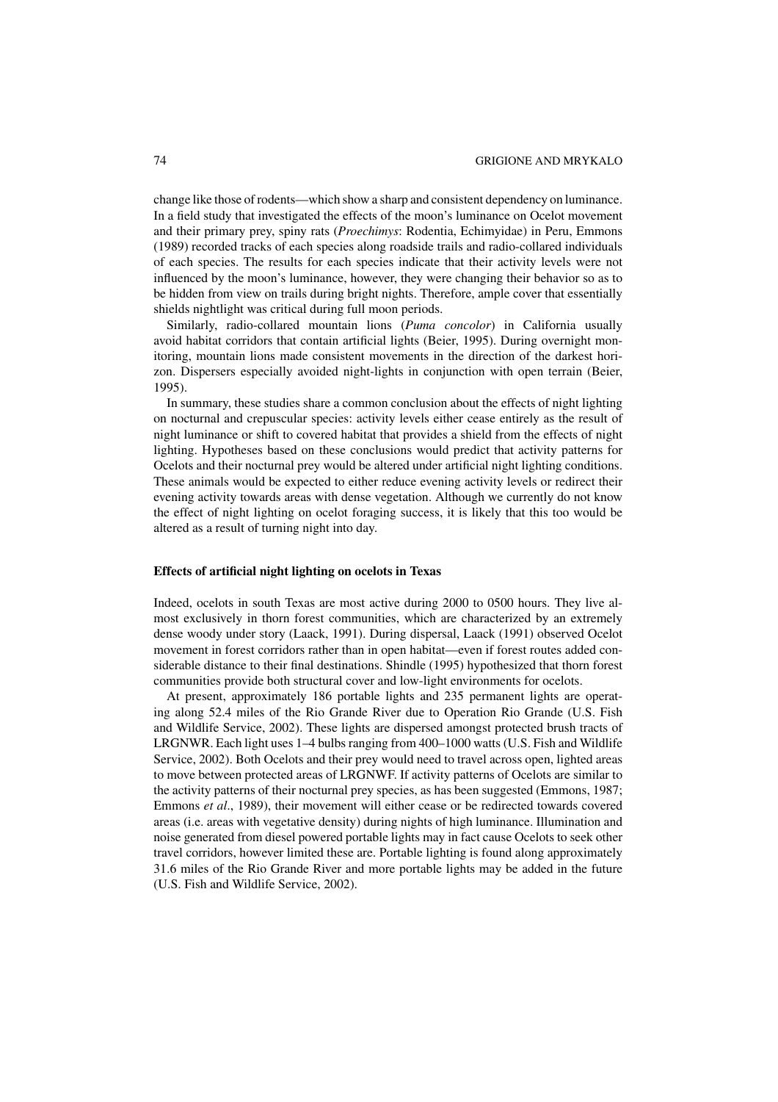## 74 GRIGIONE AND MRYKALO

change like those of rodents—which show a sharp and consistent dependency on luminance. In a field study that investigated the effects of the moon's luminance on Ocelot movement and their primary prey, spiny rats (*Proechimys*: Rodentia, Echimyidae) in Peru, Emmons (1989) recorded tracks of each species along roadside trails and radio-collared individuals of each species. The results for each species indicate that their activity levels were not influenced by the moon's luminance, however, they were changing their behavior so as to be hidden from view on trails during bright nights. Therefore, ample cover that essentially shields nightlight was critical during full moon periods.

Similarly, radio-collared mountain lions (*Puma concolor*) in California usually avoid habitat corridors that contain artificial lights (Beier, 1995). During overnight monitoring, mountain lions made consistent movements in the direction of the darkest horizon. Dispersers especially avoided night-lights in conjunction with open terrain (Beier, 1995).

In summary, these studies share a common conclusion about the effects of night lighting on nocturnal and crepuscular species: activity levels either cease entirely as the result of night luminance or shift to covered habitat that provides a shield from the effects of night lighting. Hypotheses based on these conclusions would predict that activity patterns for Ocelots and their nocturnal prey would be altered under artificial night lighting conditions. These animals would be expected to either reduce evening activity levels or redirect their evening activity towards areas with dense vegetation. Although we currently do not know the effect of night lighting on ocelot foraging success, it is likely that this too would be altered as a result of turning night into day.

## **Effects of artificial night lighting on ocelots in Texas**

Indeed, ocelots in south Texas are most active during 2000 to 0500 hours. They live almost exclusively in thorn forest communities, which are characterized by an extremely dense woody under story (Laack, 1991). During dispersal, Laack (1991) observed Ocelot movement in forest corridors rather than in open habitat—even if forest routes added considerable distance to their final destinations. Shindle (1995) hypothesized that thorn forest communities provide both structural cover and low-light environments for ocelots.

At present, approximately 186 portable lights and 235 permanent lights are operating along 52.4 miles of the Rio Grande River due to Operation Rio Grande (U.S. Fish and Wildlife Service, 2002). These lights are dispersed amongst protected brush tracts of LRGNWR. Each light uses 1–4 bulbs ranging from 400–1000 watts (U.S. Fish and Wildlife Service, 2002). Both Ocelots and their prey would need to travel across open, lighted areas to move between protected areas of LRGNWF. If activity patterns of Ocelots are similar to the activity patterns of their nocturnal prey species, as has been suggested (Emmons, 1987; Emmons *et al*., 1989), their movement will either cease or be redirected towards covered areas (i.e. areas with vegetative density) during nights of high luminance. Illumination and noise generated from diesel powered portable lights may in fact cause Ocelots to seek other travel corridors, however limited these are. Portable lighting is found along approximately 31.6 miles of the Rio Grande River and more portable lights may be added in the future (U.S. Fish and Wildlife Service, 2002).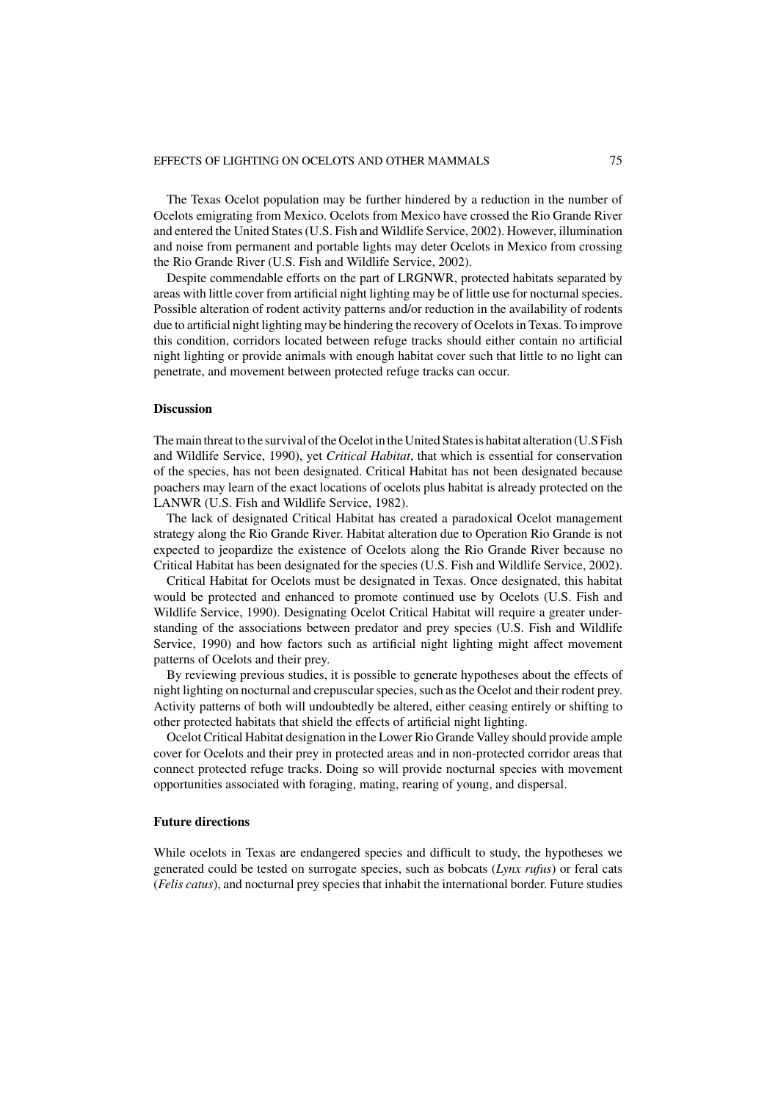The Texas Ocelot population may be further hindered by a reduction in the number of Ocelots emigrating from Mexico. Ocelots from Mexico have crossed the Rio Grande River and entered the United States (U.S. Fish and Wildlife Service, 2002). However, illumination and noise from permanent and portable lights may deter Ocelots in Mexico from crossing the Rio Grande River (U.S. Fish and Wildlife Service, 2002).

Despite commendable efforts on the part of LRGNWR, protected habitats separated by areas with little cover from artificial night lighting may be of little use for nocturnal species. Possible alteration of rodent activity patterns and/or reduction in the availability of rodents due to artificial night lighting may be hindering the recovery of Ocelots in Texas. To improve this condition, corridors located between refuge tracks should either contain no artificial night lighting or provide animals with enough habitat cover such that little to no light can penetrate, and movement between protected refuge tracks can occur.

## **Discussion**

The main threat to the survival of the Ocelot in the United States is habitat alteration (U.S Fish and Wildlife Service, 1990), yet *Critical Habitat*, that which is essential for conservation of the species, has not been designated. Critical Habitat has not been designated because poachers may learn of the exact locations of ocelots plus habitat is already protected on the LANWR (U.S. Fish and Wildlife Service, 1982).

The lack of designated Critical Habitat has created a paradoxical Ocelot management strategy along the Rio Grande River. Habitat alteration due to Operation Rio Grande is not expected to jeopardize the existence of Ocelots along the Rio Grande River because no Critical Habitat has been designated for the species (U.S. Fish and Wildlife Service, 2002).

Critical Habitat for Ocelots must be designated in Texas. Once designated, this habitat would be protected and enhanced to promote continued use by Ocelots (U.S. Fish and Wildlife Service, 1990). Designating Ocelot Critical Habitat will require a greater understanding of the associations between predator and prey species (U.S. Fish and Wildlife Service, 1990) and how factors such as artificial night lighting might affect movement patterns of Ocelots and their prey.

By reviewing previous studies, it is possible to generate hypotheses about the effects of night lighting on nocturnal and crepuscular species, such as the Ocelot and their rodent prey. Activity patterns of both will undoubtedly be altered, either ceasing entirely or shifting to other protected habitats that shield the effects of artificial night lighting.

Ocelot Critical Habitat designation in the Lower Rio Grande Valley should provide ample cover for Ocelots and their prey in protected areas and in non-protected corridor areas that connect protected refuge tracks. Doing so will provide nocturnal species with movement opportunities associated with foraging, mating, rearing of young, and dispersal.

## **Future directions**

While ocelots in Texas are endangered species and difficult to study, the hypotheses we generated could be tested on surrogate species, such as bobcats (*Lynx rufus*) or feral cats (*Felis catus*), and nocturnal prey species that inhabit the international border. Future studies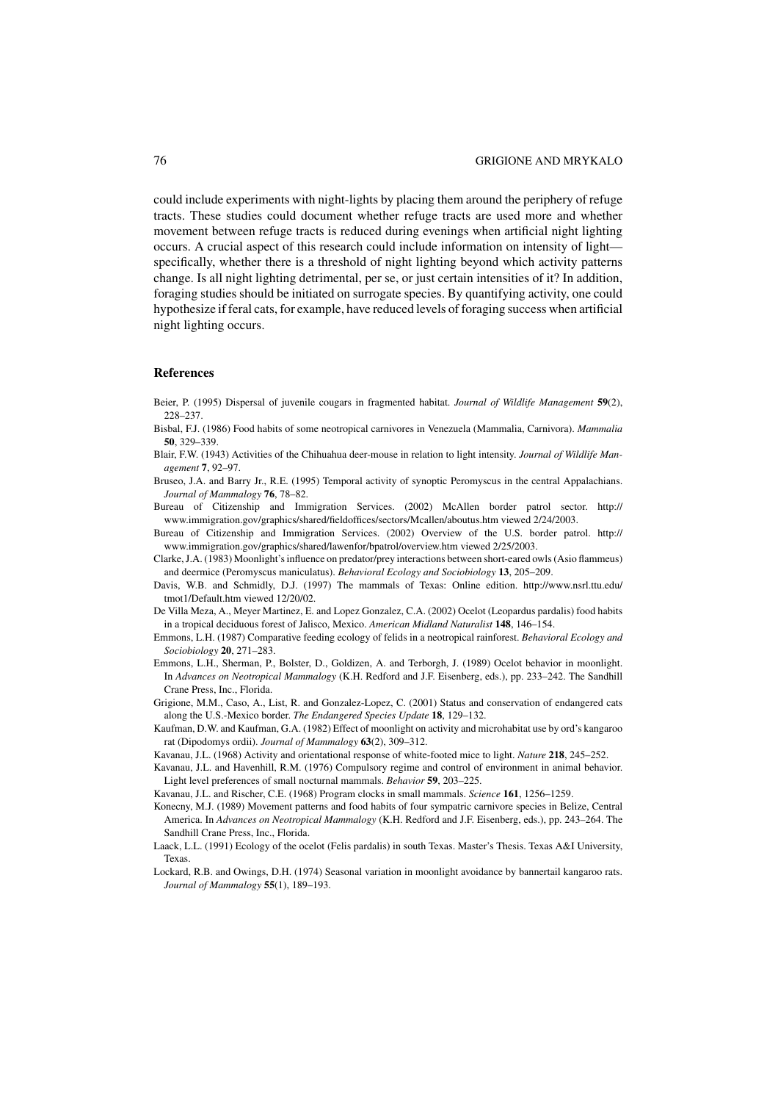could include experiments with night-lights by placing them around the periphery of refuge tracts. These studies could document whether refuge tracts are used more and whether movement between refuge tracts is reduced during evenings when artificial night lighting occurs. A crucial aspect of this research could include information on intensity of light specifically, whether there is a threshold of night lighting beyond which activity patterns change. Is all night lighting detrimental, per se, or just certain intensities of it? In addition, foraging studies should be initiated on surrogate species. By quantifying activity, one could hypothesize if feral cats, for example, have reduced levels of foraging success when artificial night lighting occurs.

#### **References**

- Beier, P. (1995) Dispersal of juvenile cougars in fragmented habitat. *Journal of Wildlife Management* **59**(2), 228–237.
- Bisbal, F.J. (1986) Food habits of some neotropical carnivores in Venezuela (Mammalia, Carnivora). *Mammalia* **50**, 329–339.
- Blair, F.W. (1943) Activities of the Chihuahua deer-mouse in relation to light intensity. *Journal of Wildlife Management* **7**, 92–97.
- Bruseo, J.A. and Barry Jr., R.E. (1995) Temporal activity of synoptic Peromyscus in the central Appalachians. *Journal of Mammalogy* **76**, 78–82.
- Bureau of Citizenship and Immigration Services. (2002) McAllen border patrol sector. http:// www.immigration.gov/graphics/shared/fieldoffices/sectors/Mcallen/aboutus.htm viewed 2/24/2003.
- Bureau of Citizenship and Immigration Services. (2002) Overview of the U.S. border patrol. http:// www.immigration.gov/graphics/shared/lawenfor/bpatrol/overview.htm viewed 2/25/2003.
- Clarke, J.A. (1983) Moonlight's influence on predator/prey interactions between short-eared owls (Asio flammeus) and deermice (Peromyscus maniculatus). *Behavioral Ecology and Sociobiology* **13**, 205–209.
- Davis, W.B. and Schmidly, D.J. (1997) The mammals of Texas: Online edition. http://www.nsrl.ttu.edu/ tmot1/Default.htm viewed 12/20/02.
- De Villa Meza, A., Meyer Martinez, E. and Lopez Gonzalez, C.A. (2002) Ocelot (Leopardus pardalis) food habits in a tropical deciduous forest of Jalisco, Mexico. *American Midland Naturalist* **148**, 146–154.
- Emmons, L.H. (1987) Comparative feeding ecology of felids in a neotropical rainforest. *Behavioral Ecology and Sociobiology* **20**, 271–283.
- Emmons, L.H., Sherman, P., Bolster, D., Goldizen, A. and Terborgh, J. (1989) Ocelot behavior in moonlight. In *Advances on Neotropical Mammalogy* (K.H. Redford and J.F. Eisenberg, eds.), pp. 233–242. The Sandhill Crane Press, Inc., Florida.
- Grigione, M.M., Caso, A., List, R. and Gonzalez-Lopez, C. (2001) Status and conservation of endangered cats along the U.S.-Mexico border. *The Endangered Species Update* **18**, 129–132.
- Kaufman, D.W. and Kaufman, G.A. (1982) Effect of moonlight on activity and microhabitat use by ord's kangaroo rat (Dipodomys ordii). *Journal of Mammalogy* **63**(2), 309–312.
- Kavanau, J.L. (1968) Activity and orientational response of white-footed mice to light. *Nature* **218**, 245–252.
- Kavanau, J.L. and Havenhill, R.M. (1976) Compulsory regime and control of environment in animal behavior. Light level preferences of small nocturnal mammals. *Behavior* **59**, 203–225.
- Kavanau, J.L. and Rischer, C.E. (1968) Program clocks in small mammals. *Science* **161**, 1256–1259.
- Konecny, M.J. (1989) Movement patterns and food habits of four sympatric carnivore species in Belize, Central America. In *Advances on Neotropical Mammalogy* (K.H. Redford and J.F. Eisenberg, eds.), pp. 243–264. The Sandhill Crane Press, Inc., Florida.
- Laack, L.L. (1991) Ecology of the ocelot (Felis pardalis) in south Texas. Master's Thesis. Texas A&I University, Texas.
- Lockard, R.B. and Owings, D.H. (1974) Seasonal variation in moonlight avoidance by bannertail kangaroo rats. *Journal of Mammalogy* **55**(1), 189–193.